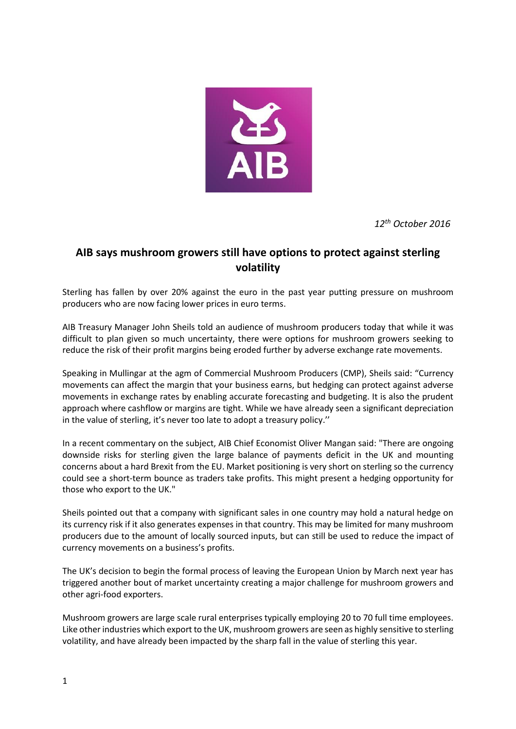

*12th October 2016*

## **AIB says mushroom growers still have options to protect against sterling volatility**

Sterling has fallen by over 20% against the euro in the past year putting pressure on mushroom producers who are now facing lower prices in euro terms.

AIB Treasury Manager John Sheils told an audience of mushroom producers today that while it was difficult to plan given so much uncertainty, there were options for mushroom growers seeking to reduce the risk of their profit margins being eroded further by adverse exchange rate movements.

Speaking in Mullingar at the agm of Commercial Mushroom Producers (CMP), Sheils said: "Currency movements can affect the margin that your business earns, but hedging can protect against adverse movements in exchange rates by enabling accurate forecasting and budgeting. It is also the prudent approach where cashflow or margins are tight. While we have already seen a significant depreciation in the value of sterling, it's never too late to adopt a treasury policy.''

In a recent commentary on the subject, AIB Chief Economist Oliver Mangan said: "There are ongoing downside risks for sterling given the large balance of payments deficit in the UK and mounting concerns about a hard Brexit from the EU. Market positioning is very short on sterling so the currency could see a short-term bounce as traders take profits. This might present a hedging opportunity for those who export to the UK."

Sheils pointed out that a company with significant sales in one country may hold a natural hedge on its currency risk if it also generates expenses in that country. This may be limited for many mushroom producers due to the amount of locally sourced inputs, but can still be used to reduce the impact of currency movements on a business's profits.

The UK's decision to begin the formal process of leaving the European Union by March next year has triggered another bout of market uncertainty creating a major challenge for mushroom growers and other agri-food exporters.

Mushroom growers are large scale rural enterprises typically employing 20 to 70 full time employees. Like other industries which export to the UK, mushroom growers are seen as highly sensitive to sterling volatility, and have already been impacted by the sharp fall in the value of sterling this year.